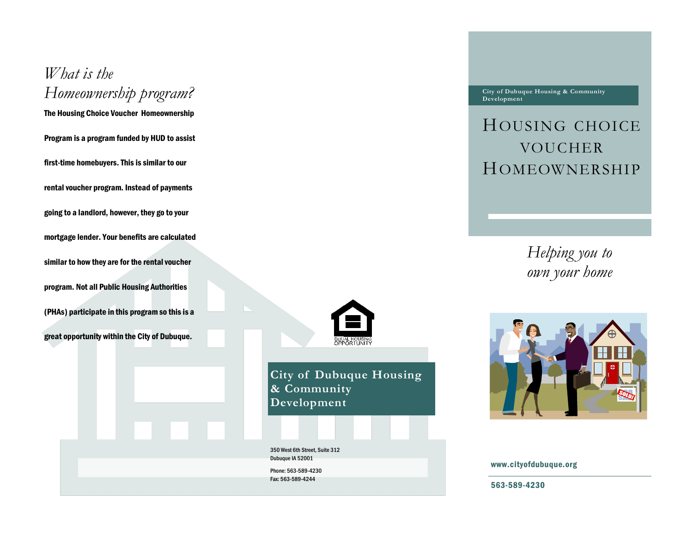## *What is the Homeownership program?*

The Housing Choice Voucher Homeownership

Program is a program funded by HUD to assist first-time homebuyers. This is similar to our rental voucher program. Instead of payments going to a landlord, however, they go to your mortgage lender. Your benefits are calculated similar to how they are for the rental voucher program. Not all Public Housing Authorities (PHAs) participate in this program so this is a great opportunity within the City of Dubuque.



**City of Dubuque Housing & Community Development**

350 West 6th Street, Suite 312 Dubuque IA 52001 Phone: 563-589-4230 Fax: 563-589-4244

**City of Dubuque Housing & Community Development**

## HOUSING CHOICE VOUCHER HOMEOWNERSHIP

*Helping you to own your home*



www.cityofdubuque.org

563-589-4230